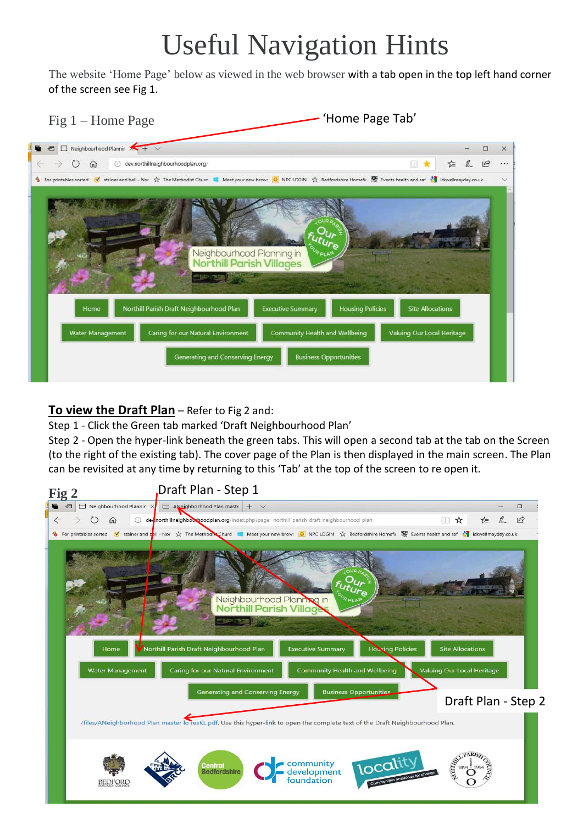## Useful Navigation Hints

The website 'Home Page' below as viewed in the web browser with a tab open in the top left hand corner of the screen see Fig 1.

Fig 1 – Home Page

'Home Page Tab'



## **To view the Draft Plan** – Refer to Fig 2 and:

Step 1 - Click the Green tab marked 'Draft Neighbourhood Plan'

Step 2 - Open the hyper-link beneath the green tabs. This will open a second tab at the tab on the Screen (to the right of the existing tab). The cover page of the Plan is then displayed in the main screen. The Plan can be revisited at any time by returning to this 'Tab' at the top of the screen to re open it.